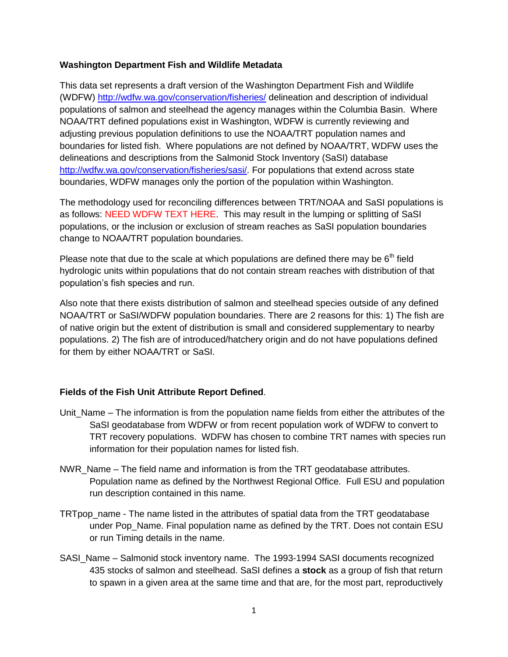## **Washington Department Fish and Wildlife Metadata**

This data set represents a draft version of the Washington Department Fish and Wildlife (WDFW)<http://wdfw.wa.gov/conservation/fisheries/> delineation and description of individual populations of salmon and steelhead the agency manages within the Columbia Basin. Where NOAA/TRT defined populations exist in Washington, WDFW is currently reviewing and adjusting previous population definitions to use the NOAA/TRT population names and boundaries for listed fish. Where populations are not defined by NOAA/TRT, WDFW uses the delineations and descriptions from the Salmonid Stock Inventory (SaSI) database [http://wdfw.wa.gov/conservation/fisheries/sasi/.](http://wdfw.wa.gov/conservation/fisheries/sasi/) For populations that extend across state boundaries, WDFW manages only the portion of the population within Washington.

The methodology used for reconciling differences between TRT/NOAA and SaSI populations is as follows: NEED WDFW TEXT HERE. This may result in the lumping or splitting of SaSI populations, or the inclusion or exclusion of stream reaches as SaSI population boundaries change to NOAA/TRT population boundaries.

Please note that due to the scale at which populations are defined there may be  $6<sup>th</sup>$  field hydrologic units within populations that do not contain stream reaches with distribution of that population's fish species and run.

Also note that there exists distribution of salmon and steelhead species outside of any defined NOAA/TRT or SaSI/WDFW population boundaries. There are 2 reasons for this: 1) The fish are of native origin but the extent of distribution is small and considered supplementary to nearby populations. 2) The fish are of introduced/hatchery origin and do not have populations defined for them by either NOAA/TRT or SaSI.

## **Fields of the Fish Unit Attribute Report Defined**.

- Unit\_Name The information is from the population name fields from either the attributes of the SaSI geodatabase from WDFW or from recent population work of WDFW to convert to TRT recovery populations. WDFW has chosen to combine TRT names with species run information for their population names for listed fish.
- NWR\_Name The field name and information is from the TRT geodatabase attributes. Population name as defined by the Northwest Regional Office. Full ESU and population run description contained in this name.
- TRTpop\_name The name listed in the attributes of spatial data from the TRT geodatabase under Pop\_Name. Final population name as defined by the TRT. Does not contain ESU or run Timing details in the name.
- SASI\_Name Salmonid stock inventory name. The 1993-1994 SASI documents recognized 435 stocks of salmon and steelhead. SaSI defines a **stock** as a group of fish that return to spawn in a given area at the same time and that are, for the most part, reproductively